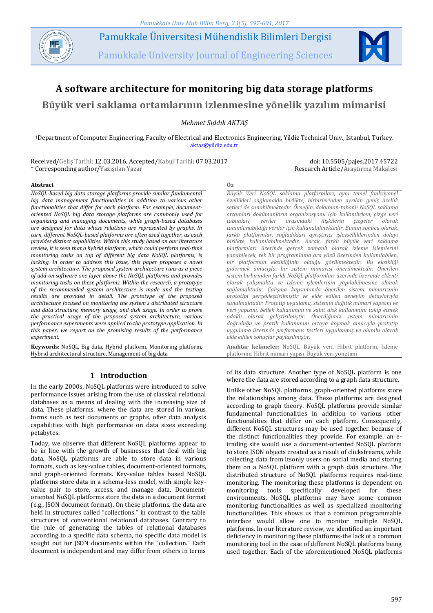

Pamukkale Üniversitesi Mühendislik Bilimleri Dergisi

Pamukkale University Journal of Engineering Sciences



# **A software architecture for monitoring big data storage platforms**

# **Büyük veri saklama ortamlarının izlenmesine yönelik yazılım mimarisi**

*Mehmet Sıddık AKTAŞ*

<sup>1</sup>Department of Computer Engineering, Faculty of Electrical and Electronics Engineering, Yildiz Technical Univ., Istanbul, Turkey. [aktas@yildiz.edu.tr](mailto:aktas@yildiz.edu.tr)

Received/Geliş Tarihi: 12.03.2016, Accepted/Kabul Tarihi: 07.03.2017 \* Corresponding author/Yazışılan Yazar

doi: 10.5505/pajes.2017.45722 Research Article/Araştırma Makalesi

#### **Abstract Öz**

*NoSQL-based big data storage platforms provide similar fundamental big data management functionalities in addition to various other functionalities that differ for each platform. For example, documentoriented NoSQL big data storage platforms are commonly used for organizing and managing documents, while graph-based databases are designed for data whose relations are represented by graphs. In turn, different NoSQL-based platforms are often used together, as each provides distinct capabilities. Within this study based on our literature review, it is seen that a hybrid platform, which could perform real-time monitoring tasks on top of different big data NoSQL platforms, is lacking. In order to address this issue, this paper proposes a novel system architecture. The proposed system architecture runs as a piece of add-on software one layer above the NoSQL platforms and provides monitoring tasks on these platforms. Within the research, a prototype of the recommended system architecture is made and the testing results are provided in detail. The prototype of the proposed architecture focused on monitoring the system's distributed structure and data structure, memory usage, and disk usage. In order to prove the practical usage of the proposed system architecture, various performance experiments were applied to the prototype application. In this paper, we report on the promising results of the performance experiment.*

**Keywords:** NoSQL, Big data, Hybrid platform, Monitoring platform, Hybrid architectural structure, Management of big data

## **1 Introduction**

In the early 2000s, NoSQL platforms were introduced to solve performance issues arising from the use of classical relational databases as a means of dealing with the increasing size of data. These platforms, where the data are stored in various forms such as text documents or graphs, offer data analysis capabilities with high performance on data sizes exceeding petabytes.

Today, we observe that different NoSQL platforms appear to be in line with the growth of businesses that deal with big data. NoSQL platforms are able to store data in various formats, such as key-value tables, document-oriented formats, and graph-oriented formats. Key-value tables based NoSQL platforms store data in a schema-less model, with simple keyvalue pair to store, access, and manage data. Documentoriented NoSQL platforms store the data in a document format (e.g., JSON document format). On these platforms, the data are held in structures called "collections." in contrast to the table structures of conventional relational databases. Contrary to the rule of generating the tables of relational databases according to a specific data schema, no specific data model is sought out for JSON documents within the "collection." Each document is independent and may differ from others in terms

*Büyük Veri NoSQL saklama platformları, aynı temel fonksiyonel özellikleri sağlamakla birlikte, birbirlerinden ayrılan geniş özellik setleri de sunabilmektedir. Örneğin, doküman-tabanlı NoSQL saklama ortamları dokümanların organizasyonu için kullanılırken, çizge veri tabanları, veriler arasındaki ilişkilerin çizgeler olarak tanımlanabildiği veriler için kullanabilmektedir. Bunun sonucu olarak, farklı platformlar, sağladıkları ayrıştırıcı işlevselliklerinden dolayı birlikte kullanılabilmektedir. Ancak, farklı büyük veri saklama platformları üzerinde gerçek zamanlı olarak izleme işlemlerini yapabilecek, tek bir programlama ara yüzü üzerinden kullanılabilen, bir platformun eksikliğinin olduğu görülmektedir. Bu eksikliği gidermek amacıyla, bir sistem mimarisi önerilmektedir. Önerilen sistem birbirinden farklı NoSQL platformları üzerinde üzerinde eklenti olarak çalışmakta ve izleme işlemlerinin yapılabilmesine olanak sağlamaktadır. Çalışma kapsamında önerilen sistem mimarisinin prototipi gerçekleştirilmiştir ve elde edilen deneyim detaylarıyla sunulmaktadır. Prototip uygulama, sistemin dağıtık mimari yapısını ve veri yapısını, bellek kullanımını ve sabit disk kullanımını takip etmek odaklı olarak geliştirilmiştir. Önerdiğimiz sistem mimarisinin doğruluğu ve pratik kullanımını ortaya koymak amacıyla prototip uygulama üzerinde performans testleri uygulanmış ve olumlu olarak elde edilen sonuçlar paylaşılmıştır.*

**Anahtar kelimeler:** NoSQL, Büyük veri, Hibrit platform, İzleme platformu, Hibrit mimari yapısı, Büyük veri yönetimi

of its data structure. Another type of NoSQL platform is one where the data are stored according to a graph data structure.

Unlike other NoSQL platforms, graph-oriented platforms store the relationships among data. These platforms are designed according to graph theory. NoSQL platforms provide similar fundamental functionalities in addition to various other functionalities that differ on each platform. Consequently, different NoSQL structures may be used together because of the distinct functionalities they provide. For example, an etrading site would use a document-oriented NoSQL platform to store JSON objects created as a result of clickstreams, while collecting data from itsonly users on social media and storing them on a NoSQL platform with a graph data structure. The distributed structure of NoSQL platforms requires real-time monitoring. The monitoring these platforms is dependent on monitoring tools specifically developed for these environments. NoSQL platforms may have some common monitoring functionalities as well as specialized monitoring functionalities. This shows us that a common programmable interface would allow one to monitor multiple NoSQL platforms. In our literature review, we identified an important deficiency in monitoring these platforms-the lack of a common monitoring tool in the case of different NoSQL platforms being used together. Each of the aforementioned NoSQL platforms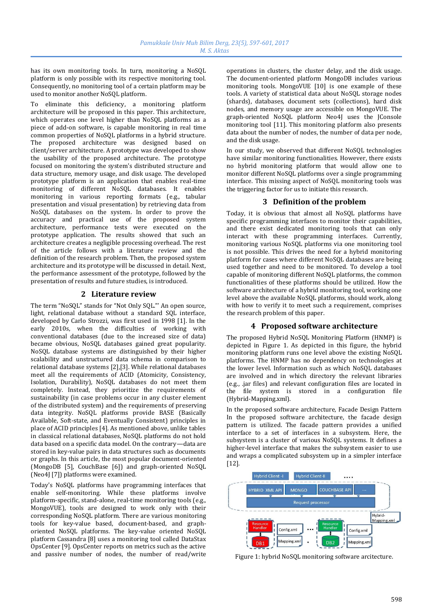has its own monitoring tools. In turn, monitoring a NoSQL platform is only possible with its respective monitoring tool. Consequently, no monitoring tool of a certain platform may be used to monitor another NoSQL platform.

To eliminate this deficiency, a monitoring platform architecture will be proposed in this paper. This architecture, which operates one level higher than NoSQL platforms as a piece of add-on software, is capable monitoring in real time common properties of NoSQL platforms in a hybrid structure. The proposed architecture was designed based on client/server architecture. A prototype was developed to show the usability of the proposed architecture. The prototype focused on monitoring the system's distributed structure and data structure, memory usage, and disk usage. The developed prototype platform is an application that enables real-time monitoring of different NoSQL databases. It enables monitoring in various reporting formats (e.g., tabular presentation and visual presentation) by retrieving data from NoSQL databases on the system. In order to prove the accuracy and practical use of the proposed system architecture, performance tests were executed on the prototype application. The results showed that such an architecture creates a negligible processing overhead. The rest of the article follows with a literature review and the definition of the research problem. Then, the proposed system architecture and its prototype will be discussed in detail. Next, the performance assessment of the prototype, followed by the presentation of results and future studies, is introduced.

# **2 Literature review**

The term "NoSQL" stands for "Not Only SQL."' An open source, light, relational database without a standard SQL interface, developed by Carlo Strozzi, was first used in 1998 [1]. In the early 2010s, when the difficulties of working with conventional databases (due to the increased size of data) became obvious, NoSQL databases gained great popularity. NoSQL database systems are distinguished by their higher scalability and unstructured data schema in comparison to relational database systems [2],[3]. While relational databases meet all the requirements of ACID (Atomicity, Consistency, Isolation, Durability), NoSQL databases do not meet them completely. Instead, they prioritize the requirements of sustainability (in case problems occur in any cluster element of the distributed system) and the requirements of preserving data integrity. NoSQL platforms provide BASE (Basically Available, Soft-state, and Eventually Consistent) principles in place of ACID principles [4]. As mentioned above, unlike tables in classical relational databases, NoSQL platforms do not hold data based on a specific data model. On the contrary—data are stored in key-value pairs in data structures such as documents or graphs. In this article, the most popular document-oriented (MongoDB [5], CouchBase [6]) and graph-oriented NoSQL (Neo4J [7]) platforms were examined.

Today's NoSQL platforms have programming interfaces that enable self-monitoring. While these platforms involve platform-specific, stand-alone, real-time monitoring tools (e.g., MongoVUE), tools are designed to work only with their corresponding NoSQL platform. There are various monitoring tools for key-value based, document-based, and graphoriented NoSQL platforms. The key-value oriented NoSQL platform Cassandra [8] uses a monitoring tool called DataStax OpsCenter [9]. OpsCenter reports on metrics such as the active and passive number of nodes, the number of read/write operations in clusters, the cluster delay, and the disk usage. The document-oriented platform MongoDB includes various monitoring tools. MongoVUE [10] is one example of these tools. A variety of statistical data about NoSQL storage nodes (shards), databases, document sets (collections), hard disk nodes, and memory usage are accessible on MongoVUE. The graph-oriented NoSQL platform Neo4J uses the JConsole monitoring tool [11]. This monitoring platform also presents data about the number of nodes, the number of data per node, and the disk usage.

In our study, we observed that different NoSQL technologies have similar monitoring functionalities. However, there exists no hybrid monitoring platform that would allow one to monitor different NoSQL platforms over a single programming interface. This missing aspect of NoSQL monitoring tools was the triggering factor for us to initiate this research.

## **3 Definition of the problem**

Today, it is obvious that almost all NoSQL platforms have specific programming interfaces to monitor their capabilities, and there exist dedicated monitoring tools that can only interact with these programming interfaces. Currently, monitoring various NoSQL platforms via one monitoring tool is not possible. This drives the need for a hybrid monitoring platform for cases where different NoSQL databases are being used together and need to be monitored. To develop a tool capable of monitoring different NoSQL platforms, the common functionalities of these platforms should be utilized. How the software architecture of a hybrid monitoring tool, working one level above the available NoSQL platforms, should work, along with how to verify it to meet such a requirement, comprises the research problem of this paper.

## **4 Proposed software architecture**

The proposed Hybrid NoSQL Monitoring Platform (HNMP) is depicted in Figure 1. As depicted in this figure, the hybrid monitoring platform runs one level above the existing NoSQL platforms. The HNMP has no dependency on technologies at the lower level. Information such as which NoSQL databases are involved and in which directory the relevant libraries (e.g., .jar files) and relevant configuration files are located in the file system is stored in a configuration file (Hybrid-Mapping.xml).

In the proposed software architecture, Facade Design Pattern In the proposed software architecture, the facade design pattern is utilized. The facade pattern provides a unified interface to a set of interfaces in a subsystem. Here, the subsystem is a cluster of various NoSQL systems. It defines a higher-level interface that makes the subsystem easier to use and wraps a complicated subsystem up in a simpler interface [12].



Figure 1: hybrid NoSQL monitoring software arcitecture.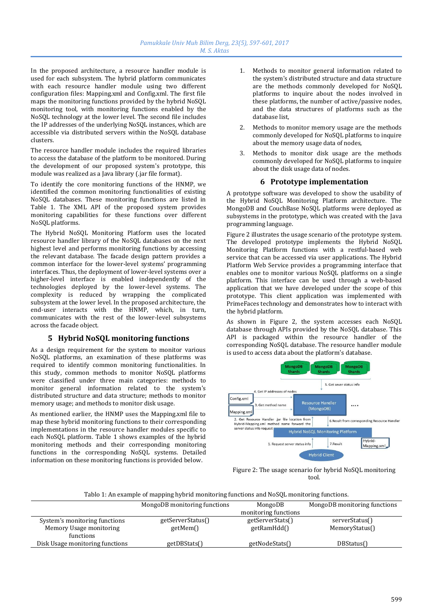In the proposed architecture, a resource handler module is used for each subsystem. The hybrid platform communicates with each resource handler module using two different configuration files: Mapping.xml and Config.xml. The first file maps the monitoring functions provided by the hybrid NoSQL monitoring tool, with monitoring functions enabled by the NoSQL technology at the lower level. The second file includes the IP addresses of the underlying NoSQL instances, which are accessible via distributed servers within the NoSQL database clusters.

The resource handler module includes the required libraries to access the database of the platform to be monitored. During the development of our proposed system's prototype, this module was realized as a Java library (.jar file format).

To identify the core monitoring functions of the HNMP, we identified the common monitoring functionalities of existing NoSQL databases. These monitoring functions are listed in Table 1. The XML API of the proposed system provides monitoring capabilities for these functions over different NoSQL platforms.

The Hybrid NoSQL Monitoring Platform uses the located resource handler library of the NoSQL databases on the next highest level and performs monitoring functions by accessing the relevant database. The facade design pattern provides a common interface for the lower-level systems' programming interfaces. Thus, the deployment of lower-level systems over a higher-level interface is enabled independently of the technologies deployed by the lower-level systems. The complexity is reduced by wrapping the complicated subsystem at the lower level. In the proposed architecture, the end-user interacts with the HNMP, which, in turn, communicates with the rest of the lower-level subsystems across the facade object.

# **5 Hybrid NoSQL monitoring functions**

As a design requirement for the system to monitor various NoSQL platforms, an examination of these platforms was required to identify common monitoring functionalities. In this study, common methods to monitor NoSQL platforms were classified under three main categories: methods to monitor general information related to the system's distributed structure and data structure; methods to monitor memory usage; and methods to monitor disk usage.

As mentioned earlier, the HNMP uses the Mapping.xml file to map these hybrid monitoring functions to their corresponding implementations in the resource handler modules specific to each NoSQL platform. Table 1 shows examples of the hybrid monitoring methods and their corresponding monitoring functions in the corresponding NoSQL systems. Detailed information on these monitoring functions is provided below.

- 1. Methods to monitor general information related to the system's distributed structure and data structure are the methods commonly developed for NoSQL platforms to inquire about the nodes involved in these platforms, the number of active/passive nodes, and the data structures of platforms such as the database list,
- 2. Methods to monitor memory usage are the methods commonly developed for NoSQL platforms to inquire about the memory usage data of nodes,
- 3. Methods to monitor disk usage are the methods commonly developed for NoSQL platforms to inquire about the disk usage data of nodes.

# **6 Prototype implementation**

A prototype software was developed to show the usability of the Hybrid NoSQL Monitoring Platform architecture. The MongoDB and CouchBase NoSQL platforms were deployed as subsystems in the prototype, which was created with the Java programming language.

Figure 2 illustrates the usage scenario of the prototype system. The developed prototype implements the Hybrid NoSQL Monitoring Platform functions with a restful-based web service that can be accessed via user applications. The Hybrid Platform Web Service provides a programming interface that enables one to monitor various NoSQL platforms on a single platform. This interface can be used through a web-based application that we have developed under the scope of this prototype. This client application was implemented with PrimeFaces technology and demonstrates how to interact with the hybrid platform.

As shown in Figure 2, the system accesses each NoSQL database through APIs provided by the NoSQL database. This API is packaged within the resource handler of the corresponding NoSQL database. The resource handler module is used to access data about the platform's database.



Figure 2: The usage scenario for hybrid NoSQL monitoring tool.

Tablo 1: An example of mapping hybrid monitoring functions and NoSQL monitoring functions.

|                                 | MongoDB monitoring functions | MongoDB              | MongoDB monitoring functions |
|---------------------------------|------------------------------|----------------------|------------------------------|
|                                 |                              | monitoring functions |                              |
| System's monitoring functions   | getServerStatus()            | getServerStats()     | serverStatus()               |
| Memory Usage monitoring         | getMem()                     | getRamHdd()          | MemoryStatus()               |
| functions                       |                              |                      |                              |
| Disk Usage monitoring functions | getDBStats∩                  | getNodeStats()       | DBStatus()                   |
|                                 |                              |                      |                              |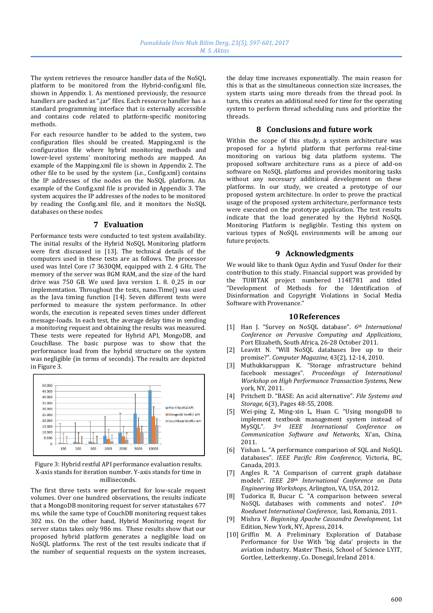The system retrieves the resource handler data of the NoSQL platform to be monitored from the Hybrid-config.xml file, shown in Appendix 1. As mentioned previously, the resource handlers are packed as ".jar" files. Each resource handler has a standard programming interface that is externally accessible and contains code related to platform-specific monitoring methods.

For each resource handler to be added to the system, two configuration files should be created. Mapping.xml is the configuration file where hybrid monitoring methods and lower-level systems' monitoring methods are mapped. An example of the Mapping.xml file is shown in Appendix 2. The other file to be used by the system (i.e., Config.xml) contains the IP addresses of the nodes on the NoSQL platform. An example of the Config.xml file is provided in Appendix 3. The system acquires the IP addresses of the nodes to be monitored by reading the Config.xml file, and it monitors the NoSQL databases on these nodes.

#### **7 Evaluation**

Performance tests were conducted to test system availability. The initial results of the Hybrid NoSQL Monitoring platform were first discussed in [13]. The technical details of the computers used in these tests are as follows. The processor used was Intel Core i7 3630QM, equipped with 2. 4 GHz. The memory of the server was 8GM RAM, and the size of the hard drive was 750 GB. We used Java version 1. 8. 0\_25 in our implementation. Throughout the tests, nano.Time() was used as the Java timing function [14]. Seven different tests were performed to measure the system performance. In other words, the execution is repeated seven times under different message-loads. In each test, the average delay time in sending a monitoring request and obtaining the results was measured. These tests were repeated for Hybrid API, MongoDB, and CouchBase. The basic purpose was to show that the performance load from the hybrid structure on the system was negligible (in terms of seconds). The results are depicted in Figure 3.



Figure 3: Hybrid restful API performance evaluation results. X-axis stands for iteration number. Y-axis stands for time in milliseconds.

The first three tests were performed for low-scale request volumes. Over one hundred observations, the results indicate that a MongoDB monitoring request for server statustakes 677 ms, while the same type of CouchDB monitoring request takes 302 ms. On the other hand, Hybrid Monitoring reqest for server status takes only 986 ms. These results show that our proposed hybrid platform generates a negligible load on NoSQL platforms. The rest of the test results indicate that if the number of sequential requests on the system increases, the delay time increases exponentially. The main reason for this is that as the simultaneous connection size increases, the system starts using more threads from the thread pool. In turn, this creates an additional need for time for the operating system to perform thread scheduling runs and prioritize the threads.

#### **8 Conclusions and future work**

Within the scope of this study, a system architecture was proposed for a hybrid platform that performs real-time monitoring on various big data platform systems. The proposed software architecture runs as a piece of add-on software on NoSQL platforms and provides monitoring tasks without any necessary additional development on these platforms. In our study, we created a prototype of our proposed system architecture. In order to prove the practical usage of the proposed system architecture, performance tests were executed on the prototype application. The test results indicate that the load generated by the Hybrid NoSQL Monitoring Platform is negligible. Testing this system on various types of NoSQL environments will be among our future projects.

# **9 Acknowledgments**

We would like to thank Oguz Aydin and Yusuf Onder for their contribution to this study. Financial support was provided by the TUBITAK project numbered 114E781 and titled "Development of Methods for the Identification of Disinformation and Copyright Violations in Social Media Software with Provenance."

## **10References**

- [1] Han J. "Survey on NoSQL database". *6th International Conference on Pervasive Computing and Applications*, Port Elizabeth, South Africa, 26-28 October 2011.
- [2] Leavitt N. "Will NoSQL databases live up to their promise?". *Computer Magazine,* 43(2), 12-14, 2010.
- [3] Muthukkaruppan K. "Storage ınfrastructure behind facebook messages". *Proceedings of International Workshop on High Performance Transaction Systems,* New york, NY, 2011.
- [4] Pritchett D. "BASE: An acid alternative". *File Systems and Storage*, 6(3), Pages 48-55, 2008.
- [5] Wei-ping Z, Ming-xin L, Huan C. "Using mongoDB to implement textbook management system instead of MySQL". *3rd IEEE International Conference on Communication Software and Networks*, Xi'an, China, 2011.
- [6] Yishan L. "A performance comparison of SQL and NoSQL databases". *IEEE Pacific Rim Conference*, Victoria, BC, Canada, 2013.
- [7] Angles R. "A Comparison of current graph database models". *IEEE 28th International Conference on Data Engineering Workshops*, Arlington, VA, USA, 2012.
- [8] Tudorica B, Bucur C. "A comparison between several NoSQL databases with comments and notes". *10th Roedunet International Conference*, Iasi, Romania, 2011.
- [9] Mishra V. *Beginning Apache Cassandra Development*, 1st Edition, New York, NY, Apress, 2014.
- [10] Griffin M. A Preliminary Exploration of Database Performance for Use With 'big data' projects in the aviation industry. Master Thesis, School of Science LYIT, Gortlee, Letterkenny, Co. Donegal, Ireland 2014.